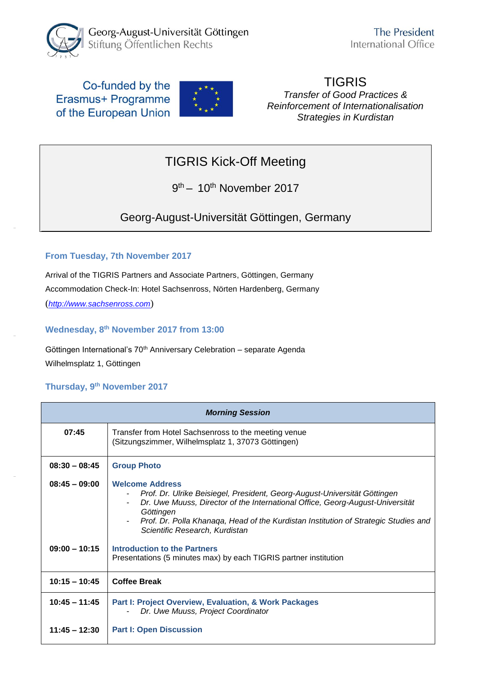

### Co-funded by the Erasmus+ Programme of the European Union



#### TIGRIS *Transfer of Good Practices & Reinforcement of Internationalisation Strategies in Kurdistan*

# TIGRIS Kick-Off Meeting

9<sup>th</sup> – 10<sup>th</sup> November 2017

Georg-August-Universität Göttingen, Germany

#### **From Tuesday, 7th November 2017**

Arrival of the TIGRIS Partners and Associate Partners, Göttingen, Germany Accommodation Check-In: Hotel Sachsenross, Nörten Hardenberg, Germany (*[http://www.sachsenross.com](http://www.sachsenross.com/)*)

**Wednesday, 8 th November 2017 from 13:00**

Göttingen International's 70th Anniversary Celebration – separate Agenda Wilhelmsplatz 1, Göttingen

#### **Thursday, 9 th November 2017**

| <b>Morning Session</b> |                                                                                                                                                                                                                                                                                                                            |  |
|------------------------|----------------------------------------------------------------------------------------------------------------------------------------------------------------------------------------------------------------------------------------------------------------------------------------------------------------------------|--|
| 07:45                  | Transfer from Hotel Sachsenross to the meeting venue<br>(Sitzungszimmer, Wilhelmsplatz 1, 37073 Göttingen)                                                                                                                                                                                                                 |  |
| $08:30 - 08:45$        | <b>Group Photo</b>                                                                                                                                                                                                                                                                                                         |  |
| $08:45 - 09:00$        | <b>Welcome Address</b><br>Prof. Dr. Ulrike Beisiegel, President, Georg-August-Universität Göttingen<br>Dr. Uwe Muuss, Director of the International Office, Georg-August-Universität<br>Göttingen<br>Prof. Dr. Polla Khanaga, Head of the Kurdistan Institution of Strategic Studies and<br>Scientific Research, Kurdistan |  |
| $09:00 - 10:15$        | Introduction to the Partners<br>Presentations (5 minutes max) by each TIGRIS partner institution                                                                                                                                                                                                                           |  |
| $10:15 - 10:45$        | <b>Coffee Break</b>                                                                                                                                                                                                                                                                                                        |  |
| $10:45 - 11:45$        | Part I: Project Overview, Evaluation, & Work Packages<br>Dr. Uwe Muuss, Project Coordinator                                                                                                                                                                                                                                |  |
| $11:45 - 12:30$        | <b>Part I: Open Discussion</b>                                                                                                                                                                                                                                                                                             |  |